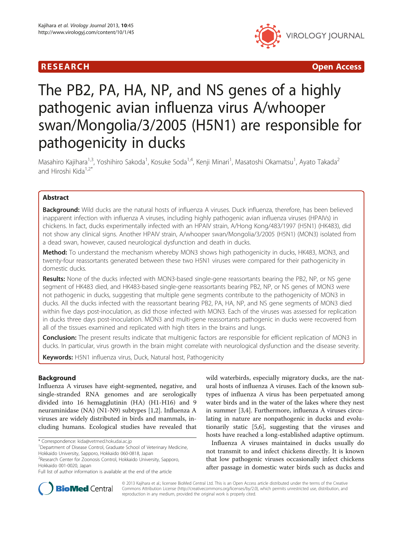## R E S EAR CH Open Access



# The PB2, PA, HA, NP, and NS genes of a highly pathogenic avian influenza virus A/whooper swan/Mongolia/3/2005 (H5N1) are responsible for pathogenicity in ducks

Masahiro Kajihara<sup>1,3</sup>, Yoshihiro Sakoda<sup>1</sup>, Kosuke Soda<sup>1,4</sup>, Kenji Minari<sup>1</sup>, Masatoshi Okamatsu<sup>1</sup>, Ayato Takada<sup>2</sup> and Hiroshi Kida $1,2^*$ 

## Abstract

Background: Wild ducks are the natural hosts of influenza A viruses. Duck influenza, therefore, has been believed inapparent infection with influenza A viruses, including highly pathogenic avian influenza viruses (HPAIVs) in chickens. In fact, ducks experimentally infected with an HPAIV strain, A/Hong Kong/483/1997 (H5N1) (HK483), did not show any clinical signs. Another HPAIV strain, A/whooper swan/Mongolia/3/2005 (H5N1) (MON3) isolated from a dead swan, however, caused neurological dysfunction and death in ducks.

Method: To understand the mechanism whereby MON3 shows high pathogenicity in ducks, HK483, MON3, and twenty-four reassortants generated between these two H5N1 viruses were compared for their pathogenicity in domestic ducks.

Results: None of the ducks infected with MON3-based single-gene reassortants bearing the PB2, NP, or NS gene segment of HK483 died, and HK483-based single-gene reassortants bearing PB2, NP, or NS genes of MON3 were not pathogenic in ducks, suggesting that multiple gene segments contribute to the pathogenicity of MON3 in ducks. All the ducks infected with the reassortant bearing PB2, PA, HA, NP, and NS gene segments of MON3 died within five days post-inoculation, as did those infected with MON3. Each of the viruses was assessed for replication in ducks three days post-inoculation. MON3 and multi-gene reassortants pathogenic in ducks were recovered from all of the tissues examined and replicated with high titers in the brains and lungs.

Conclusion: The present results indicate that multigenic factors are responsible for efficient replication of MON3 in ducks. In particular, virus growth in the brain might correlate with neurological dysfunction and the disease severity.

Keywords: H5N1 influenza virus, Duck, Natural host, Pathogenicity

## Background

Influenza A viruses have eight-segmented, negative, and single-stranded RNA genomes and are serologically divided into 16 hemagglutinin (HA) (H1-H16) and 9 neuraminidase (NA) (N1-N9) subtypes [\[1,2](#page-7-0)]. Influenza A viruses are widely distributed in birds and mammals, including humans. Ecological studies have revealed that wild waterbirds, especially migratory ducks, are the natural hosts of influenza A viruses. Each of the known subtypes of influenza A virus has been perpetuated among water birds and in the water of the lakes where they nest in summer [[3,4\]](#page-7-0). Furthermore, influenza A viruses circulating in nature are nonpathogenic in ducks and evolutionarily static [[5,6\]](#page-7-0), suggesting that the viruses and hosts have reached a long-established adaptive optimum.

Influenza A viruses maintained in ducks usually do not transmit to and infect chickens directly. It is known that low pathogenic viruses occasionally infect chickens after passage in domestic water birds such as ducks and



© 2013 Kajihara et al.; licensee BioMed Central Ltd. This is an Open Access article distributed under the terms of the Creative Commons Attribution License [\(http://creativecommons.org/licenses/by/2.0\)](http://creativecommons.org/licenses/by/2.0), which permits unrestricted use, distribution, and reproduction in any medium, provided the original work is properly cited.

<sup>\*</sup> Correspondence: [kida@vetmed.hokudai.ac.jp](mailto:kida@vetmed.hokudai.ac.jp) <sup>1</sup>

<sup>&</sup>lt;sup>1</sup>Department of Disease Control, Graduate School of Veterinary Medicine, Hokkaido University, Sapporo, Hokkaido 060-0818, Japan

<sup>&</sup>lt;sup>2</sup> Research Center for Zoonosis Control, Hokkaido University, Sapporo, Hokkaido 001-0020, Japan

Full list of author information is available at the end of the article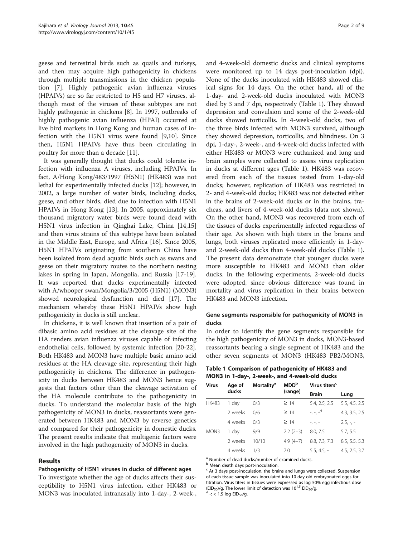geese and terrestrial birds such as quails and turkeys, and then may acquire high pathogenicity in chickens through multiple transmissions in the chicken population [[7\]](#page-7-0). Highly pathogenic avian influenza viruses (HPAIVs) are so far restricted to H5 and H7 viruses, although most of the viruses of these subtypes are not highly pathogenic in chickens [\[8](#page-7-0)]. In 1997, outbreaks of highly pathogenic avian influenza (HPAI) occurred at live bird markets in Hong Kong and human cases of infection with the H5N1 virus were found [[9,10](#page-7-0)]. Since then, H5N1 HPAIVs have thus been circulating in poultry for more than a decade [[11\]](#page-7-0).

It was generally thought that ducks could tolerate infection with influenza A viruses, including HPAIVs. In fact, A/Hong Kong/483/1997 (H5N1) (HK483) was not lethal for experimentally infected ducks [[12](#page-7-0)]; however, in 2002, a large number of water birds, including ducks, geese, and other birds, died due to infection with H5N1 HPAIVs in Hong Kong [\[13](#page-7-0)]. In 2005, approximately six thousand migratory water birds were found dead with H5N1 virus infection in Qinghai Lake, China [[14](#page-7-0),[15](#page-7-0)] and then virus strains of this subtype have been isolated in the Middle East, Europe, and Africa [[16\]](#page-7-0). Since 2005, H5N1 HPAIVs originating from southern China have been isolated from dead aquatic birds such as swans and geese on their migratory routes to the northern nesting lakes in spring in Japan, Mongolia, and Russia [\[17-19](#page-7-0)]. It was reported that ducks experimentally infected with A/whooper swan/Mongolia/3/2005 (H5N1) (MON3) showed neurological dysfunction and died [[17](#page-7-0)]. The mechanism whereby these H5N1 HPAIVs show high pathogenicity in ducks is still unclear.

In chickens, it is well known that insertion of a pair of dibasic amino acid residues at the cleavage site of the HA renders avian influenza viruses capable of infecting endothelial cells, followed by systemic infection [\[20-22](#page-7-0)]. Both HK483 and MON3 have multiple basic amino acid residues at the HA cleavage site, representing their high pathogenicity in chickens. The difference in pathogenicity in ducks between HK483 and MON3 hence suggests that factors other than the cleavage activation of the HA molecule contribute to the pathogenicity in ducks. To understand the molecular basis of the high pathogenicity of MON3 in ducks, reassortants were generated between HK483 and MON3 by reverse genetics and compared for their pathogenicity in domestic ducks. The present results indicate that multigenic factors were involved in the high pathogenicity of MON3 in ducks.

## Results

#### Pathogenicity of H5N1 viruses in ducks of different ages

To investigate whether the age of ducks affects their susceptibility to H5N1 virus infection, either HK483 or MON3 was inoculated intranasally into 1-day-, 2-week-,

and 4-week-old domestic ducks and clinical symptoms were monitored up to 14 days post-inoculation (dpi). None of the ducks inoculated with HK483 showed clinical signs for 14 days. On the other hand, all of the 1-day- and 2-week-old ducks inoculated with MON3 died by 3 and 7 dpi, respectively (Table 1). They showed depression and convulsion and some of the 2-week-old ducks showed torticollis. In 4-week-old ducks, two of the three birds infected with MON3 survived, although they showed depression, torticollis, and blindness. On 3 dpi, 1-day-, 2-week-, and 4-week-old ducks infected with either HK483 or MON3 were euthanized and lung and brain samples were collected to assess virus replication in ducks at different ages (Table 1). HK483 was recovered from each of the tissues tested from 1-day-old ducks; however, replication of HK483 was restricted in 2- and 4-week-old ducks; HK483 was not detected either in the brains of 2-week-old ducks or in the brains, tracheas, and livers of 4-week-old ducks (data not shown). On the other hand, MON3 was recovered from each of the tissues of ducks experimentally infected regardless of their age. As shown with high titers in the brains and lungs, both viruses replicated more efficiently in 1-dayand 2-week-old ducks than 4-week-old ducks (Table 1). The present data demonstrate that younger ducks were more susceptible to HK483 and MON3 than older ducks. In the following experiments, 2-week-old ducks were adopted, since obvious difference was found in mortality and virus replication in their brains between HK483 and MON3 infection.

## Gene segments responsible for pathogenicity of MON3 in ducks

In order to identify the gene segments responsible for the high pathogenicity of MON3 in ducks, MON3-based reassortants bearing a single segment of HK483 and the other seven segments of MON3 (HK483 PB2/MON3,

Table 1 Comparison of pathogenicity of HK483 and MON3 in 1-day-, 2-week-, and 4-week-old ducks

| <b>Virus</b> | Age of  | <b>Mortality<sup>a</sup></b> | <b>MDD</b> <sup>b</sup> | Virus titers <sup>c</sup> |               |  |  |  |
|--------------|---------|------------------------------|-------------------------|---------------------------|---------------|--|--|--|
|              | ducks   |                              | (range)                 | <b>Brain</b>              | Lung          |  |  |  |
| <b>HK483</b> | 1 day   | 0/3                          | $\geq$ 14               | 5.4, 2.5, 2.5             | 5.5, 4.5, 2.5 |  |  |  |
|              | 2 weeks | 0/6                          | $\geq$ 14               | $-,-,-$ <sup>d</sup>      | 4.3, 3.5, 2.5 |  |  |  |
|              | 4 weeks | 0/3                          | $\geq$ 14               | $-,-,-$                   | $2.5, -7$     |  |  |  |
| MON3         | 1 day   | 9/9                          | $2.2(2-3)$              | 8.0, 7.5                  | 5.7, 5.5      |  |  |  |
|              | 2 weeks | 10/10                        | $4.9(4-7)$              | 8.8, 7.3, 7.3             | 8.5, 5.5, 5.3 |  |  |  |
|              | 4 weeks | 1/3                          | 7.0                     | $5.5, 4.5, -$             | 4.5, 2.5, 3.7 |  |  |  |

<sup>a</sup> Number of dead ducks/number of examined ducks.

**b** Mean death days post-inoculation.

 $\epsilon$  At 3 days post-inoculation, the brains and lungs were collected. Suspension of each tissue sample was inoculated into 10-day-old embryonated eggs for titration. Virus titers in tissues were expressed as log 50% egg infectious dose (EID<sub>50</sub>)/g. The lower limit of detection was 10<sup>1.5</sup> EID<sub>50</sub>/g.<br><sup>d</sup> -: < 1.5 log EID<sub>50</sub>/g.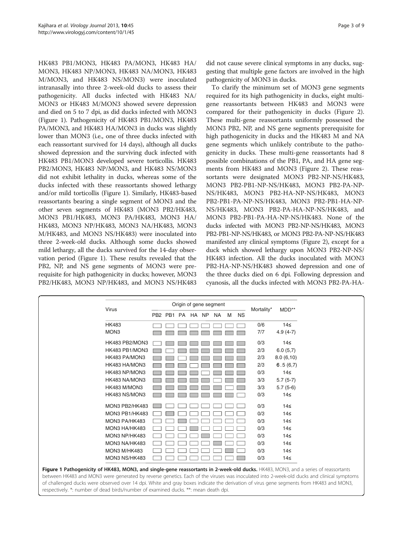<span id="page-2-0"></span>HK483 PB1/MON3, HK483 PA/MON3, HK483 HA/ MON3, HK483 NP/MON3, HK483 NA/MON3, HK483 M/MON3, and HK483 NS/MON3) were inoculated intranasally into three 2-week-old ducks to assess their pathogenicity. All ducks infected with HK483 NA/ MON3 or HK483 M/MON3 showed severe depression and died on 5 to 7 dpi, as did ducks infected with MON3 (Figure 1). Pathogenicity of HK483 PB1/MON3, HK483 PA/MON3, and HK483 HA/MON3 in ducks was slightly lower than MON3 (i.e., one of three ducks infected with each reassortant survived for 14 days), although all ducks showed depression and the surviving duck infected with HK483 PB1/MON3 developed severe torticollis. HK483 PB2/MON3, HK483 NP/MON3, and HK483 NS/MON3 did not exhibit lethality in ducks, whereas some of the ducks infected with these reassortants showed lethargy and/or mild torticollis (Figure 1). Similarly, HK483-based reassortants bearing a single segment of MON3 and the other seven segments of HK483 (MON3 PB2/HK483, MON3 PB1/HK483, MON3 PA/HK483, MON3 HA/ HK483, MON3 NP/HK483, MON3 NA/HK483, MON3 M/HK483, and MON3 NS/HK483) were inoculated into three 2-week-old ducks. Although some ducks showed mild lethargy, all the ducks survived for the 14-day observation period (Figure 1). These results revealed that the PB2, NP, and NS gene segments of MON3 were prerequisite for high pathogenicity in ducks; however, MON3 PB2/HK483, MON3 NP/HK483, and MON3 NS/HK483

respectively. \*: number of dead birds/number of examined ducks. \*\*: mean death dpi.

did not cause severe clinical symptoms in any ducks, suggesting that multiple gene factors are involved in the high pathogenicity of MON3 in ducks.

To clarify the minimum set of MON3 gene segments required for its high pathogenicity in ducks, eight multigene reassortants between HK483 and MON3 were compared for their pathogenicity in ducks (Figure [2](#page-3-0)). These multi-gene reassortants uniformly possessed the MON3 PB2, NP, and NS gene segments prerequisite for high pathogenicity in ducks and the HK483 M and NA gene segments which unlikely contribute to the pathogenicity in ducks. These multi-gene reassortants had 8 possible combinations of the PB1, PA, and HA gene segments from HK483 and MON3 (Figure [2\)](#page-3-0). These reassortants were designated MON3 PB2-NP-NS/HK483, MON3 PB2-PB1-NP-NS/HK483, MON3 PB2-PA-NP-NS/HK483, MON3 PB2-HA-NP-NS/HK483, MON3 PB2-PB1-PA-NP-NS/HK483, MON3 PB2-PB1-HA-NP-NS/HK483, MON3 PB2-PA-HA-NP-NS/HK483, and MON3 PB2-PB1-PA-HA-NP-NS/HK483. None of the ducks infected with MON3 PB2-NP-NS/HK483, MON3 PB2-PB1-NP-NS/HK483, or MON3 PB2-PA-NP-NS/HK483 manifested any clinical symptoms (Figure [2\)](#page-3-0), except for a duck which showed lethargy upon MON3 PB2-NP-NS/ HK483 infection. All the ducks inoculated with MON3 PB2-HA-NP-NS/HK483 showed depression and one of the three ducks died on 6 dpi. Following depression and cyanosis, all the ducks infected with MON3 PB2-PA-HA-

| Virus                                                                                                                                                                                                                                                                                                                                                                                                                      |                  | Origin of gene segment |  |     |   |           |            |            |
|----------------------------------------------------------------------------------------------------------------------------------------------------------------------------------------------------------------------------------------------------------------------------------------------------------------------------------------------------------------------------------------------------------------------------|------------------|------------------------|--|-----|---|-----------|------------|------------|
|                                                                                                                                                                                                                                                                                                                                                                                                                            | PB2 PB1 PA HA NP |                        |  | NA. | M | <b>NS</b> | Mortality* | MDD**      |
| <b>HK483</b>                                                                                                                                                                                                                                                                                                                                                                                                               |                  |                        |  |     |   |           | 0/6        | 14≤        |
| MON <sub>3</sub>                                                                                                                                                                                                                                                                                                                                                                                                           |                  |                        |  |     |   |           | 7/7        | $4.9(4-7)$ |
| HK483 PB2/MON3                                                                                                                                                                                                                                                                                                                                                                                                             |                  |                        |  |     |   |           | 0/3        | 14≤        |
| HK483 PB1/MON3                                                                                                                                                                                                                                                                                                                                                                                                             |                  |                        |  |     |   |           | 2/3        | 6.0(5,7)   |
| HK483 PA/MON3                                                                                                                                                                                                                                                                                                                                                                                                              |                  |                        |  |     |   |           | 2/3        | 8.0(6,10)  |
| HK483 HA/MON3                                                                                                                                                                                                                                                                                                                                                                                                              |                  |                        |  |     |   |           | 2/3        | 6.5(6,7)   |
| HK483 NP/MON3                                                                                                                                                                                                                                                                                                                                                                                                              |                  |                        |  |     |   |           | 0/3        | 14≤        |
| HK483 NA/MON3                                                                                                                                                                                                                                                                                                                                                                                                              |                  |                        |  |     |   |           | 3/3        | $5.7(5-7)$ |
| HK483 M/MON3                                                                                                                                                                                                                                                                                                                                                                                                               |                  |                        |  |     |   |           | 3/3        | $5.7(5-6)$ |
| HK483 NS/MON3                                                                                                                                                                                                                                                                                                                                                                                                              |                  |                        |  |     |   |           | 0/3        | 14≤        |
| MON3 PB2/HK483                                                                                                                                                                                                                                                                                                                                                                                                             |                  |                        |  |     |   |           | 0/3        | 14≤        |
| MON3 PB1/HK483                                                                                                                                                                                                                                                                                                                                                                                                             |                  |                        |  |     |   |           | 0/3        | 14≤        |
| MON3 PA/HK483                                                                                                                                                                                                                                                                                                                                                                                                              |                  |                        |  |     |   |           | 0/3        | 14≤        |
| MON3 HA/HK483                                                                                                                                                                                                                                                                                                                                                                                                              |                  |                        |  |     |   |           | 0/3        | 14≤        |
| MON3 NP/HK483                                                                                                                                                                                                                                                                                                                                                                                                              |                  |                        |  |     |   |           | 0/3        | 14≤        |
| MON3 NA/HK483                                                                                                                                                                                                                                                                                                                                                                                                              |                  |                        |  |     |   |           | 0/3        | 14≤        |
| MON3 M/HK483                                                                                                                                                                                                                                                                                                                                                                                                               |                  |                        |  |     |   |           | 0/3        | 14≤        |
| MON3 NS/HK483                                                                                                                                                                                                                                                                                                                                                                                                              |                  |                        |  |     |   |           | 0/3        | 14≤        |
| Figure 1 Pathogenicity of HK483, MON3, and single-gene reassortants in 2-week-old ducks. HK483, MON3, and a series of reassortants<br>between HK483 and MON3 were generated by reverse genetics. Each of the viruses was inoculated into 2-week-old ducks and clinical symptoms<br>of challenged ducks were observed over 14 dpi. White and gray boxes indicate the derivation of virus gene segments from HK483 and MON3, |                  |                        |  |     |   |           |            |            |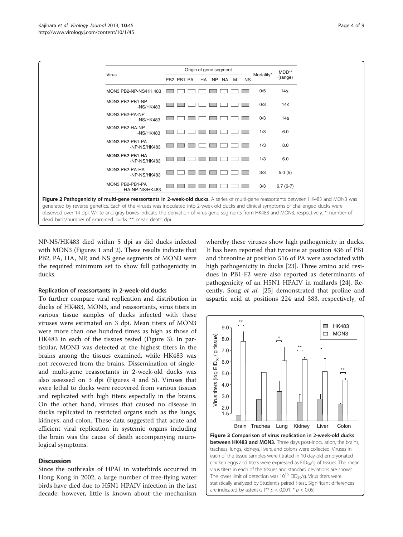<span id="page-3-0"></span>

NP-NS/HK483 died within 5 dpi as did ducks infected with MON3 (Figures [1](#page-2-0) and 2). These results indicate that PB2, PA, HA, NP, and NS gene segments of MON3 were the required minimum set to show full pathogenicity in ducks.

#### Replication of reassortants in 2-week-old ducks

To further compare viral replication and distribution in ducks of HK483, MON3, and reassortants, virus titers in various tissue samples of ducks infected with these viruses were estimated on 3 dpi. Mean titers of MON3 were more than one hundred times as high as those of HK483 in each of the tissues tested (Figure 3). In particular, MON3 was detected at the highest titers in the brains among the tissues examined, while HK483 was not recovered from the brains. Dissemination of singleand multi-gene reassortants in 2-week-old ducks was also assessed on 3 dpi (Figures [4](#page-4-0) and [5\)](#page-4-0). Viruses that were lethal to ducks were recovered from various tissues and replicated with high titers especially in the brains. On the other hand, viruses that caused no disease in ducks replicated in restricted organs such as the lungs, kidneys, and colon. These data suggested that acute and efficient viral replication in systemic organs including the brain was the cause of death accompanying neurological symptoms.

#### **Discussion**

Since the outbreaks of HPAI in waterbirds occurred in Hong Kong in 2002, a large number of free-flying water birds have died due to H5N1 HPAIV infection in the last decade; however, little is known about the mechanism whereby these viruses show high pathogenicity in ducks. It has been reported that tyrosine at position 436 of PB1 and threonine at position 516 of PA were associated with high pathogenicity in ducks [[23](#page-7-0)]. Three amino acid residues in PB1-F2 were also reported as determinants of pathogenicity of an H5N1 HPAIV in mallards [\[24](#page-7-0)]. Recently, Song et al. [[25\]](#page-7-0) demonstrated that proline and aspartic acid at positions 224 and 383, respectively, of



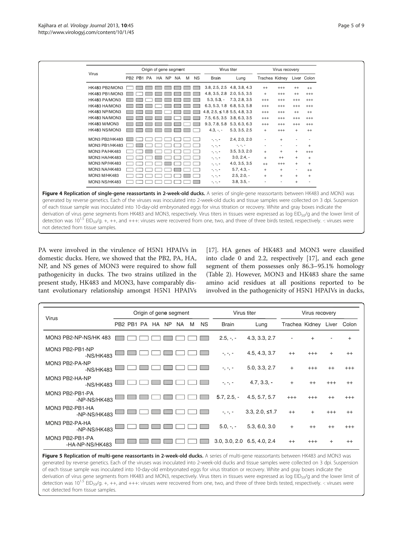<span id="page-4-0"></span>

|                | Origin of gene segment |                          |  |  |  | Virus titer | Virus recovery                   |                             |           |                            |           |          |
|----------------|------------------------|--------------------------|--|--|--|-------------|----------------------------------|-----------------------------|-----------|----------------------------|-----------|----------|
| Virus          |                        | PB2 PB1 PA HA NP NA M NS |  |  |  |             | <b>Brain</b>                     | Lung                        |           | Trachea Kidney Liver Colon |           |          |
| HK483 PB2/MON3 |                        |                          |  |  |  |             |                                  | 3.8, 2.5, 2.5 4.8, 3.8, 4.3 | $^{++}$   | $^{+++}$                   | $^{++}$   | $^{++}$  |
| HK483 PB1/MON3 |                        |                          |  |  |  |             |                                  | 4.8, 3.5, 2.8 2.0, 5.5, 3.5 | $\ddot{}$ | $^{+++}$                   | $^{++}$   | $^{+++}$ |
| HK483 PA/MON3  |                        |                          |  |  |  |             |                                  | $5.3, 5.3, -7.3, 2.8, 3.5$  | $^{+++}$  | $^{+++}$                   | $^{+++}$  | $^{+++}$ |
| HK483 HA/MON3  |                        |                          |  |  |  |             |                                  | 6.3, 5.3, 1.8 6.8, 5.3, 5.8 | $^{+++}$  | $^{+++}$                   | $^{+++}$  | $^{+++}$ |
| HK483 NP/MON3  |                        |                          |  |  |  |             | 4.8, $2.5 \le 1.8$ 5.5, 4.8, 3.3 |                             | $^{+++}$  | $^{+++}$                   | $^{++}$   | $^{++}$  |
| HK483 NA/MON3  |                        |                          |  |  |  |             |                                  | 7.5, 6.5, 3.5 3.8, 6.3, 3.5 | $^{+++}$  | $^{+++}$                   | $^{+++}$  | $^{+++}$ |
| HK483 M/MON3   |                        |                          |  |  |  |             |                                  | 9.3, 7.8, 5.8 5.3, 6.3, 6.3 | $^{+++}$  | $^{+++}$                   | $^{+++}$  | $^{+++}$ |
| HK483 NS/MON3  |                        |                          |  |  |  |             | $4.3, -, -$                      | 5.3, 3.5, 2.5               | $+$       | $^{+++}$                   | $\ddot{}$ | $^{++}$  |
| MON3 PB2/HK483 |                        |                          |  |  |  |             | $-$ , $-$ , $-$                  | 2.4, 2.0, 2.0               |           |                            |           |          |
| MON3 PB1/HK483 |                        |                          |  |  |  |             | $-$ , $-$ , $-$                  | $-$ , $-$ , $-$             |           |                            |           | $+$      |
| MON3 PA/HK483  |                        |                          |  |  |  |             | $-$ , $-$ , $-$                  | 3.5, 3.3, 2.0               | $^{+}$    | $\ddot{}$                  | $\ddot{}$ | $^{+++}$ |
| MON3 HA/HK483  |                        |                          |  |  |  |             | $-$ , $-$ , $-$                  | $3.0, 2.4, -$               | $+$       | $^{++}$                    | $\ddot{}$ | $+$      |
| MON3 NP/HK483  |                        |                          |  |  |  |             | $-$ , $-$ , $-$                  | 4.0, 3.5, 3.5               | $++$      | $^{+++}$                   | $\ddot{}$ | $+$      |
| MON3 NA/HK483  |                        |                          |  |  |  |             | $-$ , $-$ , $-$                  | $5.7, 4.3, -$               | $+$       | $\ddot{}$                  |           | $^{++}$  |
| MON3 M/HK483   |                        |                          |  |  |  |             | $-$ , $-$ , $-$                  | $2.5, 2.0, -$               | $+$       | $\ddot{}$                  | $\ddot{}$ | $+$      |
| MON3 NS/HK483  |                        |                          |  |  |  |             | $-$ , $-$ , $-$                  | $3.8, 3.5, -$               |           |                            |           |          |

not detected from tissue samples.

PA were involved in the virulence of H5N1 HPAIVs in domestic ducks. Here, we showed that the PB2, PA, HA, NP, and NS genes of MON3 were required to show full pathogenicity in ducks. The two strains utilized in the present study, HK483 and MON3, have comparably distant evolutionary relationship amongst H5N1 HPAIVs

[[17\]](#page-7-0). HA genes of HK483 and MON3 were classified into clade 0 and 2.2, respectively [\[17](#page-7-0)], and each gene segment of them possesses only 86.3–95.1% homology (Table [2\)](#page-5-0). However, MON3 and HK483 share the same amino acid residues at all positions reported to be involved in the pathogenicity of H5N1 HPAIVs in ducks,

| Virus                              | Origin of gene segment |     |   |           | Virus titer     | Virus recovery               |                            |           |          |           |
|------------------------------------|------------------------|-----|---|-----------|-----------------|------------------------------|----------------------------|-----------|----------|-----------|
|                                    | PB2 PB1 PA HA NP       | NA. | M | <b>NS</b> | <b>Brain</b>    | Lung                         | Trachea Kidney Liver Colon |           |          |           |
| MON3 PB2-NP-NS/HK 483              |                        |     |   |           | $2.5, -, -$     | 4.3, 3.3, 2.7                |                            |           |          | $\ddot{}$ |
| MON3 PB2-PB1-NP<br>-NS/HK483       |                        |     |   |           | $-$ , $-$ , $-$ | 4.5, 4.3, 3.7                | $++$                       | $^{+++}$  |          | $^{++}$   |
| MON3 PB2-PA-NP<br>-NS/HK483        |                        |     |   |           | $-$ , $-$ , $-$ | 5.0, 3.3, 2.7                | $^{+}$                     | $^{+++}$  | $^{++}$  | $^{+++}$  |
| MON3 PB2-HA-NP<br>$-NS/HK483$      |                        |     |   |           | $-$ , $-$ , $-$ | $4.7, 3.3, -$                | $^{+}$                     | $^{++}$   | $^{+++}$ | $^{++}$   |
| MON3 PB2-PB1-PA<br>-NP-NS/HK483    |                        |     |   |           | $5.7, 2.5, -$   | 4.5, 5.7, 5.7                | $^{+++}$                   | $^{+++}$  | $^{++}$  | $^{+++}$  |
| MON3 PB2-PB1-HA<br>-NP-NS/HK483    |                        |     |   |           | $-$ , $-$ , $-$ | $3.3, 2.0, \leq 1.7$         | $++$                       | $\ddot{}$ | $^{+++}$ | $^{++}$   |
| MON3 PB2-PA-HA<br>-NP-NS/HK483     |                        |     |   |           | $5.0, -, -$     | 5.3, 6.0, 3.0                | $^{+}$                     | $^{++}$   | $^{++}$  | $^{+++}$  |
| MON3 PB2-PB1-PA<br>-HA-NP-NS/HK483 |                        |     |   |           |                 | 3.0, 3.0, 2.0, 6.5, 4.0, 2.4 | $^{++}$                    | $^{+++}$  | $^+$     | $^{++}$   |

Figure 5 Replication of multi-gene reassortants in 2-week-old ducks. A series of multi-gene reassortants between HK483 and MON3 was generated by reverse genetics. Each of the viruses was inoculated into 2-week-old ducks and tissue samples were collected on 3 dpi. Suspension of each tissue sample was inoculated into 10-day-old embryonated eggs for virus titration or recovery. White and gray boxes indicate the derivation of virus gene segments from HK483 and MON3, respectively. Virus titers in tissues were expressed as log EID<sub>50</sub>/g and the lower limit of detection was 10<sup>1.5</sup> EID<sub>50</sub>/g. +, ++, and +++: viruses were recovered from one, two, and three of three birds tested, respectively. -: viruses were not detected from tissue samples.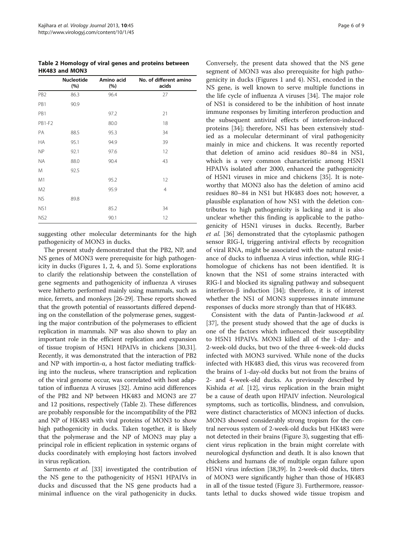<span id="page-5-0"></span>Table 2 Homology of viral genes and proteins between HK483 and MON3

|                 | <b>Nucleotide</b><br>(%) | Amino acid<br>(%) | No. of different amino<br>acids |
|-----------------|--------------------------|-------------------|---------------------------------|
| PB <sub>2</sub> | 86.3                     | 96.4              | 27                              |
| PB1             | 90.9                     |                   |                                 |
| PB1             |                          | 97.2              | 21                              |
| <b>PB1-F2</b>   |                          | 80.0              | 18                              |
| PA              | 88.5                     | 95.3              | 34                              |
| <b>HA</b>       | 95.1                     | 94.9              | 39                              |
| <b>NP</b>       | 92.1                     | 97.6              | 12                              |
| <b>NA</b>       | 88.0                     | 90.4              | 43                              |
| M               | 92.5                     |                   |                                 |
| M1              |                          | 95.2              | 12                              |
| M <sub>2</sub>  |                          | 95.9              | 4                               |
| <b>NS</b>       | 89.8                     |                   |                                 |
| NS1             |                          | 85.2              | 34                              |
| NS <sub>2</sub> |                          | 90.1              | 12                              |

suggesting other molecular determinants for the high pathogenicity of MON3 in ducks.

The present study demonstrated that the PB2, NP, and NS genes of MON3 were prerequisite for high pathogenicity in ducks (Figures [1](#page-2-0), [2,](#page-3-0) [4](#page-4-0), and [5\)](#page-4-0). Some explorations to clarify the relationship between the constellation of gene segments and pathogenicity of influenza A viruses were hitherto performed mainly using mammals, such as mice, ferrets, and monkeys [\[26-](#page-7-0)[29\]](#page-8-0). These reports showed that the growth potential of reassortants differed depending on the constellation of the polymerase genes, suggesting the major contribution of the polymerases to efficient replication in mammals. NP was also shown to play an important role in the efficient replication and expansion of tissue tropism of H5N1 HPAIVs in chickens [\[30,31](#page-8-0)]. Recently, it was demonstrated that the interaction of PB2 and NP with importin-α, a host factor mediating trafficking into the nucleus, where transcription and replication of the viral genome occur, was correlated with host adaptation of influenza A viruses [\[32](#page-8-0)]. Amino acid differences of the PB2 and NP between HK483 and MON3 are 27 and 12 positions, respectively (Table 2). These differences are probably responsible for the incompatibility of the PB2 and NP of HK483 with viral proteins of MON3 to show high pathogenicity in ducks. Taken together, it is likely that the polymerase and the NP of MON3 may play a principal role in efficient replication in systemic organs of ducks coordinately with employing host factors involved in virus replication.

Sarmento *et al.* [[33](#page-8-0)] investigated the contribution of the NS gene to the pathogenicity of H5N1 HPAIVs in ducks and discussed that the NS gene products had a minimal influence on the viral pathogenicity in ducks.

Conversely, the present data showed that the NS gene segment of MON3 was also prerequisite for high pathogenicity in ducks (Figures [1](#page-2-0) and [4](#page-4-0)). NS1, encoded in the NS gene, is well known to serve multiple functions in the life cycle of influenza A viruses [\[34](#page-8-0)]. The major role of NS1 is considered to be the inhibition of host innate immune responses by limiting interferon production and the subsequent antiviral effects of interferon-induced proteins [\[34\]](#page-8-0); therefore, NS1 has been extensively studied as a molecular determinant of viral pathogenicity mainly in mice and chickens. It was recently reported that deletion of amino acid residues 80–84 in NS1, which is a very common characteristic among H5N1 HPAIVs isolated after 2000, enhanced the pathogenicity of H5N1 viruses in mice and chickens [\[35](#page-8-0)]. It is noteworthy that MON3 also has the deletion of amino acid residues 80–84 in NS1 but HK483 does not; however, a plausible explanation of how NS1 with the deletion contributes to high pathogenicity is lacking and it is also unclear whether this finding is applicable to the pathogenicity of H5N1 viruses in ducks. Recently, Barber et al. [[36\]](#page-8-0) demonstrated that the cytoplasmic pathogen sensor RIG-I, triggering antiviral effects by recognition of viral RNA, might be associated with the natural resistance of ducks to influenza A virus infection, while RIG-I homologue of chickens has not been identified. It is known that the NS1 of some strains interacted with RIG-I and blocked its signaling pathway and subsequent interferon-β induction [\[34\]](#page-8-0); therefore, it is of interest whether the NS1 of MON3 suppresses innate immune responses of ducks more strongly than that of HK483.

Consistent with the data of Pantin-Jackwood et al. [[37\]](#page-8-0), the present study showed that the age of ducks is one of the factors which influenced their susceptibility to H5N1 HPAIVs. MON3 killed all of the 1-day- and 2-week-old ducks, but two of the three 4-week-old ducks infected with MON3 survived. While none of the ducks infected with HK483 died, this virus was recovered from the brains of 1-day-old ducks but not from the brains of 2- and 4-week-old ducks. As previously described by Kishida et al. [[12](#page-7-0)], virus replication in the brain might be a cause of death upon HPAIV infection. Neurological symptoms, such as torticollis, blindness, and convulsion, were distinct characteristics of MON3 infection of ducks. MON3 showed considerably strong tropism for the central nervous system of 2-week-old ducks but HK483 were not detected in their brains (Figure [3](#page-3-0)), suggesting that efficient virus replication in the brain might correlate with neurological dysfunction and death. It is also known that chickens and humans die of multiple organ failure upon H5N1 virus infection [\[38,39\]](#page-8-0). In 2-week-old ducks, titers of MON3 were significantly higher than those of HK483 in all of the tissue tested (Figure [3\)](#page-3-0). Furthermore, reassortants lethal to ducks showed wide tissue tropism and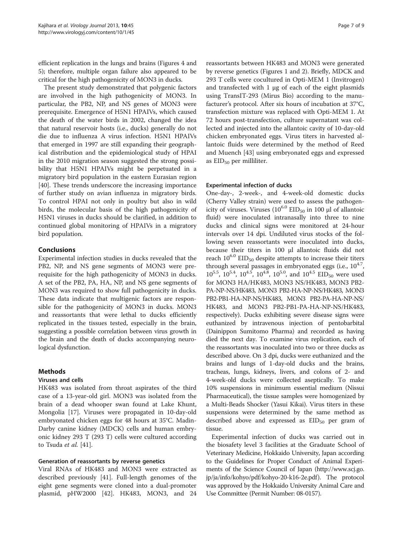efficient replication in the lungs and brains (Figures [4](#page-4-0) and [5\)](#page-4-0); therefore, multiple organ failure also appeared to be critical for the high pathogenicity of MON3 in ducks.

The present study demonstrated that polygenic factors are involved in the high pathogenicity of MON3. In particular, the PB2, NP, and NS genes of MON3 were prerequisite. Emergence of H5N1 HPAIVs, which caused the death of the water birds in 2002, changed the idea that natural reservoir hosts (i.e., ducks) generally do not die due to influenza A virus infection. H5N1 HPAIVs that emerged in 1997 are still expanding their geographical distribution and the epidemiological study of HPAI in the 2010 migration season suggested the strong possibility that H5N1 HPAIVs might be perpetuated in a migratory bird population in the eastern Eurasian region [[40\]](#page-8-0). These trends underscore the increasing importance of further study on avian influenza in migratory birds. To control HPAI not only in poultry but also in wild birds, the molecular basis of the high pathogenicity of H5N1 viruses in ducks should be clarified, in addition to continued global monitoring of HPAIVs in a migratory bird population.

## Conclusions

Experimental infection studies in ducks revealed that the PB2, NP, and NS gene segments of MON3 were prerequisite for the high pathogenicity of MON3 in ducks. A set of the PB2, PA, HA, NP, and NS gene segments of MON3 was required to show full pathogenicity in ducks. These data indicate that multigenic factors are responsible for the pathogenicity of MON3 in ducks. MON3 and reassortants that were lethal to ducks efficiently replicated in the tissues tested, especially in the brain, suggesting a possible correlation between virus growth in the brain and the death of ducks accompanying neurological dysfunction.

## Methods

## Viruses and cells

HK483 was isolated from throat aspirates of the third case of a 13-year-old girl. MON3 was isolated from the brain of a dead whooper swan found at Lake Khunt, Mongolia [[17\]](#page-7-0). Viruses were propagated in 10-day-old embryonated chicken eggs for 48 hours at 35°C. Madin-Darby canine kidney (MDCK) cells and human embryonic kidney 293 T (293 T) cells were cultured according to Tsuda et al. [[41\]](#page-8-0).

## Generation of reassortants by reverse genetics

Viral RNAs of HK483 and MON3 were extracted as described previously [\[41](#page-8-0)]. Full-length genomes of the eight gene segments were cloned into a dual-promoter plasmid, pHW2000 [[42\]](#page-8-0). HK483, MON3, and 24

reassortants between HK483 and MON3 were generated by reverse genetics (Figures [1](#page-2-0) and [2](#page-3-0)). Briefly, MDCK and 293 T cells were cocultured in Opti-MEM 1 (Invitrogen) and transfected with 1 μg of each of the eight plasmids using TransIT-293 (Mirus Bio) according to the manufacturer's protocol. After six hours of incubation at 37°C, transfection mixture was replaced with Opti-MEM 1. At 72 hours post-transfection, culture supernatant was collected and injected into the allantoic cavity of 10-day-old chicken embryonated eggs. Virus titers in harvested allantoic fluids were determined by the method of Reed and Muench [[43\]](#page-8-0) using embryonated eggs and expressed as  $EID_{50}$  per milliliter.

#### Experimental infection of ducks

One-day-, 2-week-, and 4-week-old domestic ducks (Cherry Valley strain) were used to assess the pathogenicity of viruses. Viruses  $(10^{6.0}$  EID<sub>50</sub> in 100 μl of allantoic fluid) were inoculated intranasally into three to nine ducks and clinical signs were monitored at 24-hour intervals over 14 dpi. Undiluted virus stocks of the following seven reassortants were inoculated into ducks, because their titers in 100 μl allantoic fluids did not reach  $10^{6.0}$  EID<sub>50</sub> despite attempts to increase their titers through several passages in embryonated eggs (i.e.,  $10^{4.7}$ ,  $10^{5.5}$ ,  $10^{5.4}$ ,  $10^{4.5}$ ,  $10^{4.8}$ ,  $10^{5.0}$ , and  $10^{4.5}$  EID<sub>50</sub> were used for MON3 HA/HK483, MON3 NS/HK483, MON3 PB2- PA-NP-NS/HK483, MON3 PB2-HA-NP-NS/HK483, MON3 PB2-PB1-HA-NP-NS/HK483, MON3 PB2-PA-HA-NP-NS/ HK483, and MON3 PB2-PB1-PA-HA-NP-NS/HK483, respectively). Ducks exhibiting severe disease signs were euthanized by intravenous injection of pentobarbital (Dainippon Sumitomo Pharma) and recorded as having died the next day. To examine virus replication, each of the reassortants was inoculated into two or three ducks as described above. On 3 dpi, ducks were euthanized and the brains and lungs of 1-day-old ducks and the brains, tracheas, lungs, kidneys, livers, and colons of 2- and 4-week-old ducks were collected aseptically. To make 10% suspensions in minimum essential medium (Nissui Pharmaceutical), the tissue samples were homogenized by a Multi-Beads Shocker (Yasui Kikai). Virus titers in these suspensions were determined by the same method as described above and expressed as  $EID_{50}$  per gram of tissue.

Experimental infection of ducks was carried out in the biosafety level 3 facilities at the Graduate School of Veterinary Medicine, Hokkaido University, Japan according to the Guidelines for Proper Conduct of Animal Experiments of the Science Council of Japan [\(http://www.scj.go.](http://www.scj.go.jp/ja/info/kohyo/pdf/kohyo-20-k16-2e.pdf) [jp/ja/info/kohyo/pdf/kohyo-20-k16-2e.pdf](http://www.scj.go.jp/ja/info/kohyo/pdf/kohyo-20-k16-2e.pdf) ). The protocol was approved by the Hokkaido University Animal Care and Use Committee (Permit Number: 08-0157).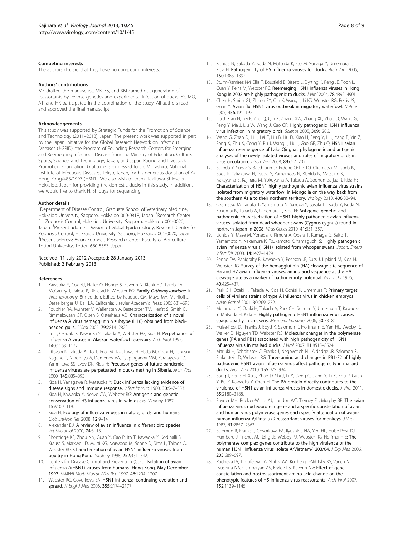#### <span id="page-7-0"></span>Competing interests

The authors declare that they have no competing interests.

#### Authors' contributions

MK drafted the manuscript. MK, KS, and KM carried out generation of reassortants by reverse genetics and experimental infection of ducks. YS, MO, AT, and HK participated in the coordination of the study. All authors read and approved the final manuscript.

#### Acknowledgements

This study was supported by Strategic Funds for the Promotion of Science and Technology (2011–2013), Japan. The present work was supported in part by the Japan Initiative for the Global Research Network on Infectious Diseases (J-GRID), the Program of Founding Research Centers for Emerging and Reemerging Infectious Disease from the Ministry of Education, Culture, Sports, Science, and Technology, Japan, and Japan Racing and Livestock Promotion Foundation. Gratitude is expressed to Dr. M. Tashiro, National Institute of Infectious Diseases, Tokyo, Japan, for his generous donation of A/ Hong Kong/483/1997 (H5N1). We also wish to thank Takikawa Shinseien, Hokkaido, Japan for providing the domestic ducks in this study. In addition, we would like to thank H. Shibuya for sequencing.

#### Author details

<sup>1</sup>Department of Disease Control, Graduate School of Veterinary Medicine, Hokkaido University, Sapporo, Hokkaido 060-0818, Japan. <sup>2</sup>Research Center for Zoonosis Control, Hokkaido University, Sapporo, Hokkaido 001-0020, Japan. <sup>3</sup>Present address: Division of Global Epidemiology, Research Center for Zoonosis Control, Hokkaido University, Sapporo, Hokkaido 001-0020, Japan. 4 Present address: Avian Zoonosis Research Center, Faculty of Agriculture, Tottori University, Tottori 680-8553, Japan.

#### Received: 11 July 2012 Accepted: 28 January 2013 Published: 2 February 2013

#### References

- Kawaoka Y, Cox NJ, Haller O, Hongo S, Kaverin N, Klenk HD, Lamb RA, McCauley J, Palese P, Rimstad E, Webster RG: Family Orthomyxoviridae. In Virus Taxonomy. 8th edition. Edited by Fauquet CM, Mayo MA, Maniloff J, Desselberger U, Ball LA. California: Elsevier Academic Press; 2005:681–693.
- 2. Fouchier RA, Munster V, Wallensten A, Bestebroer TM, Herfst S, Smith D, Rimmelzwaan GF, Olsen B, Osterhaus AD: Characterization of a novel influenza A virus hemagglutinin subtype (H16) obtained from blackheaded gulls. J Virol 2005, 79:2814–2822.
- 3. Ito T, Okazaki K, Kawaoka Y, Takada A, Webster RG, Kida H: Perpetuation of influenza A viruses in Alaskan waterfowl reservoirs. Arch Virol 1995, 140:1163–1172.
- 4. Okazaki K, Takada A, Ito T, Imai M, Takakuwa H, Hatta M, Ozaki H, Tanizaki T, Nagano T, Ninomiya A, Demenov VA, Tyaptirganov MM, Karatayeva TD, Yamnikova SS, Lvov DK, Kida H: Precursor genes of future pandemic influenza viruses are perpetuated in ducks nesting in Siberia. Arch Virol 2000, 145:885–893.
- 5. Kida H, Yanagawa R, Matsuoka Y: Duck influenza lacking evidence of disease signs and immune response. Infect Immun 1980, 30:547–553.
- 6. Kida H, Kawaoka Y, Neave CW, Webster RG: Antigenic and genetic conservation of H3 influenza virus in wild ducks. Virology 1987, 159:109–119.
- 7. Kida H: Ecology of influenza viruses in nature, birds, and humans. Glob Environ Res 2008, 12:9–14.
- 8. Alexander DJ: A review of avian influenza in different bird species. Vet Microbiol 2000, 74:3–13.
- 9. Shortridge KF, Zhou NN, Guan Y, Gao P, Ito T, Kawaoka Y, Kodihalli S, Krauss S, Markwell D, Murti KG, Norwood M, Senne D, Sims L, Takada A, Webster RG: Characterization of avian H5N1 influenza viruses from poultry in Hong Kong. Virology 1998, 252:331–342.
- 10. Centers for Disease Conrrol and Prevention (CDC): Isolation of avian influenza A(H5N1) viruses from humans--Hong Kong, May-December 1997. MMWR Morb Mortal Wkly Rep 1997, 46:1204-1207.
- 11. Webster RG, Govorkova EA: H5N1 influenza-continuing evolution and spread. N Engl J Med 2006, 355:2174–2177.
- 12. Kishida N, Sakoda Y, Isoda N, Matsuda K, Eto M, Sunaga Y, Umemura T, Kida H: Pathogenicity of H5 influenza viruses for ducks. Arch Virol 2005, 150:1383–1392.
- 13. Sturm-Ramirez KM, Ellis T, Bousfield B, Bissett L, Dyrting K, Rehg JE, Poon L, Guan Y, Peiris M, Webster RG: Reemerging H5N1 influenza viruses in Hong Kong in 2002 are highly pathogenic to ducks. J Virol 2004, 78:4892–4901.
- 14. Chen H, Smith GJ, Zhang SY, Qin K, Wang J, Li KS, Webster RG, Peiris JS, Guan Y: Avian flu: H5N1 virus outbreak in migratory waterfowl. Nature 2005, 436:191–192.
- 15. Liu J, Xiao H, Lei F, Zhu Q, Qin K, Zhang XW, Zhang XL, Zhao D, Wang G, Feng Y, Ma J, Liu W, Wang J, Gao GF: Highly pathogenic H5N1 influenza virus infection in migratory birds. Science 2005, 309:1206.
- 16. Wang G, Zhan D, Li L, Lei F, Liu B, Liu D, Xiao H, Feng Y, Li J, Yang B, Yin Z, Song X, Zhu X, Cong Y, Pu J, Wang J, Liu J, Gao GF, Zhu Q: H5N1 avian influenza re-emergence of Lake Qinghai: phylogenetic and antigenic analyses of the newly isolated viruses and roles of migratory birds in virus circulation. J Gen Virol 2008, 89:697–702.
- 17. Sakoda Y, Sugar S, Batchluun D, Erdene-Ochir TO, Okamatsu M, Isoda N, Soda K, Takakuwa H, Tsuda Y, Yamamoto N, Kishida N, Matsuno K, Nakayama E, Kajihara M, Yokoyama A, Takada A, Sodnomdarjaa R, Kida H: Characterization of H5N1 highly pathogenic avian influenza virus strains isolated from migratory waterfowl in Mongolia on the way back from the southern Asia to their northern territory. Virology 2010, 406:88–94.
- 18. Okamatsu M, Tanaka T, Yamamoto N, Sakoda Y, Sasaki T, Tsuda Y, Isoda N, Kokumai N, Takada A, Umemura T, Kida H: Antigenic, genetic, and pathogenic characterization of H5N1 highly pathogenic avian influenza viruses isolated from dead whooper swans (Cygnus cygnus) found in northern Japan in 2008. Virus Genes 2010, 41:351–357.
- 19. Uchida Y, Mase M, Yoneda K, Kimura A, Obara T, Kumagai S, Saito T, Yamamoto Y, Nakamura K, Tsukamoto K, Yamaguchi S: Highly pathogenic avian influenza virus (H5N1) isolated from whooper swans. Japan. Emerg Infect Dis 2008, 14:1427–1429.
- 20. Senne DA, Panigrahy B, Kawaoka Y, Pearson JE, Suss J, Lipkind M, Kida H, Webster RG: Survey of the hemagglutinin (HA) cleavage site sequence of H5 and H7 avian influenza viruses: amino acid sequence at the HA cleavage site as a marker of pathogenicity potential. Avian Dis 1996, 40:425–437.
- 21. Park CH, Ozaki H, Takada A, Kida H, Ochiai K, Umemura T: Primary target cells of virulent strains of type A influenza virus in chicken embryos. Avian Pathol 2001, 30:269–272.
- 22. Muramoto Y, Ozaki H, Takada A, Park CH, Sunden Y, Umemura T, Kawaoka Y, Matsuda H, Kida H: Highly pathogenic H5N1 influenza virus causes coagulopathy in chickens. Microbiol Immunol 2006, 50:73–81.
- 23. Hulse-Post DJ, Franks J, Boyd K, Salomon R, Hoffmann E, Yen HL, Webby RJ, Walker D, Nguyen TD, Webster RG: Molecular changes in the polymerase genes (PA and PB1) associated with high pathogenicity of H5N1 influenza virus in mallard ducks. J Virol 2007, 81:8515–8524.
- 24. Marjuki H, Scholtissek C, Franks J, Negovetich NJ, Aldridge JR, Salomon R, Finkelstein D, Webster RG: Three amino acid changes in PB1-F2 of highly pathogenic H5N1 avian influenza virus affect pathogenicity in mallard ducks. Arch Virol 2010, 155:925–934.
- 25. Song J, Feng H, Xu J, Zhao D, Shi J, Li Y, Deng G, Jiang Y, Li X, Zhu P, Guan Y, Bu Z, Kawaoka Y, Chen H: The PA protein directly contributes to the virulence of H5N1 avian influenza viruses in domestic ducks. J Virol 2011, 85:2180–2188.
- 26. Snyder MH, Buckler-White AJ, London WT, Tierney EL, Murphy BR: The avian influenza virus nucleoprotein gene and a specific constellation of avian and human virus polymerase genes each specify attenuation of avianhuman influenza A/Pintail/79 reassortant viruses for monkeys. J Virol 1987, 61:2857–2863.
- 27. Salomon R, Franks J, Govorkova EA, Ilyushina NA, Yen HL, Hulse-Post DJ, Humberd J, Trichet M, Rehg JE, Webby RJ, Webster RG, Hoffmann E: The polymerase complex genes contribute to the high virulence of the human H5N1 influenza virus isolate A/Vietnam/1203/04. J Exp Med 2006, 203:689–697.
- 28. Rudneva IA, Timofeeva TA, Shilov AA, Kochergin-Nikitsky KS, Varich NL, Ilyushina NA, Gambaryan AS, Krylov PS, Kaverin NV: Effect of gene constellation and postreassortment amino acid change on the phenotypic features of H5 influenza virus reassortants. Arch Virol 2007, 152:1139–1145.